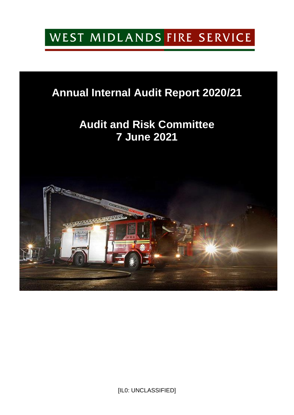# WEST MIDLANDS FIRE SERVICE

## **Annual Internal Audit Report 2020/21**

## **Audit and Risk Committee 7 June 2021**



[IL0: UNCLASSIFIED]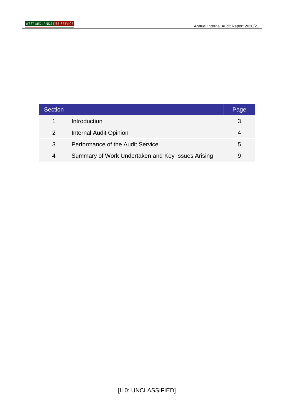| <b>Section</b> |                                                   | Page |
|----------------|---------------------------------------------------|------|
|                | Introduction                                      | З    |
| 2              | <b>Internal Audit Opinion</b>                     |      |
| 3              | Performance of the Audit Service                  | 5    |
| 4              | Summary of Work Undertaken and Key Issues Arising | 9    |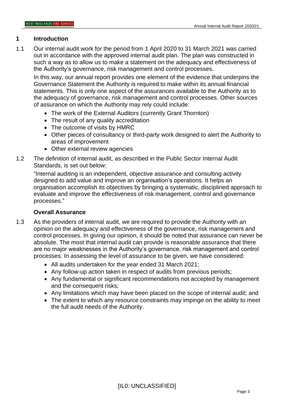#### **1 Introduction**

1.1 Our internal audit work for the period from 1 April 2020 to 31 March 2021 was carried out in accordance with the approved internal audit plan. The plan was constructed in such a way as to allow us to make a statement on the adequacy and effectiveness of the Authority's governance, risk management and control processes.

In this way, our annual report provides one element of the evidence that underpins the Governance Statement the Authority is required to make within its annual financial statements. This is only one aspect of the assurances available to the Authority as to the adequacy of governance, risk management and control processes. Other sources of assurance on which the Authority may rely could include:

- The work of the External Auditors (currently Grant Thornton)
- The result of any quality accreditation
- The outcome of visits by HMRC
- Other pieces of consultancy or third-party work designed to alert the Authority to areas of improvement
- Other external review agencies
- 1.2 The definition of internal audit, as described in the Public Sector Internal Audit Standards, is set out below:

"Internal auditing is an independent, objective assurance and consulting activity designed to add value and improve an organisation's operations. It helps an organisation accomplish its objectives by bringing a systematic, disciplined approach to evaluate and improve the effectiveness of risk management, control and governance processes."

#### **Overall Assurance**

- 1.3 As the providers of internal audit, we are required to provide the Authority with an opinion on the adequacy and effectiveness of the governance, risk management and control processes. In giving our opinion, it should be noted that assurance can never be absolute. The most that internal audit can provide is reasonable assurance that there are no major weaknesses in the Authority's governance, risk management and control processes. In assessing the level of assurance to be given, we have considered:
	- All audits undertaken for the year ended 31 March 2021;
	- Any follow-up action taken in respect of audits from previous periods;
	- Any fundamental or significant recommendations not accepted by management and the consequent risks;
	- Any limitations which may have been placed on the scope of internal audit; and
	- The extent to which any resource constraints may impinge on the ability to meet the full audit needs of the Authority.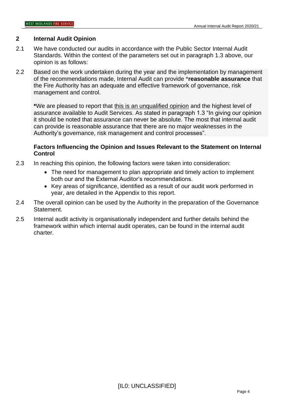#### **2 Internal Audit Opinion**

- 2.1 We have conducted our audits in accordance with the Public Sector Internal Audit Standards. Within the context of the parameters set out in paragraph 1.3 above, our opinion is as follows:
- 2.2 Based on the work undertaken during the year and the implementation by management of the recommendations made, Internal Audit can provide \***reasonable assurance** that the Fire Authority has an adequate and effective framework of governance, risk management and control.

**\***We are pleased to report that this is an unqualified opinion and the highest level of assurance available to Audit Services. As stated in paragraph 1.3 "In giving our opinion it should be noted that assurance can never be absolute. The most that internal audit can provide is reasonable assurance that there are no major weaknesses in the Authority's governance, risk management and control processes".

#### **Factors Influencing the Opinion and Issues Relevant to the Statement on Internal Control**

- 2.3 In reaching this opinion, the following factors were taken into consideration:
	- The need for management to plan appropriate and timely action to implement both our and the External Auditor's recommendations.
	- Key areas of significance, identified as a result of our audit work performed in year, are detailed in the Appendix to this report.
- 2.4 The overall opinion can be used by the Authority in the preparation of the Governance Statement.
- 2.5 Internal audit activity is organisationally independent and further details behind the framework within which internal audit operates, can be found in the internal audit charter.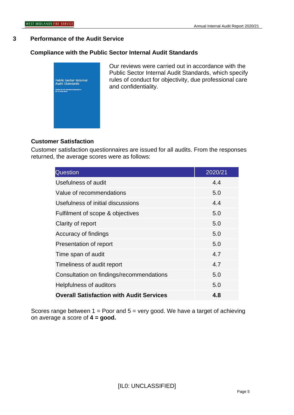#### **3 Performance of the Audit Service**

#### **Compliance with the Public Sector Internal Audit Standards**



Our reviews were carried out in accordance with the Public Sector Internal Audit Standards, which specify rules of conduct for objectivity, due professional care and confidentiality.

#### **Customer Satisfaction**

Customer satisfaction questionnaires are issued for all audits. From the responses returned, the average scores were as follows:

| <b>Question</b>                                 | 2020/21 |
|-------------------------------------------------|---------|
| Usefulness of audit                             | 4.4     |
| Value of recommendations                        | 5.0     |
| Usefulness of initial discussions               | 4.4     |
| Fulfilment of scope & objectives                | 5.0     |
| Clarity of report                               | 5.0     |
| Accuracy of findings                            | 5.0     |
| Presentation of report                          | 5.0     |
| Time span of audit                              | 4.7     |
| Timeliness of audit report                      | 4.7     |
| Consultation on findings/recommendations        | 5.0     |
| Helpfulness of auditors                         | 5.0     |
| <b>Overall Satisfaction with Audit Services</b> | 4.8     |

Scores range between  $1 =$  Poor and  $5 =$  very good. We have a target of achieving on average a score of **4 = good.**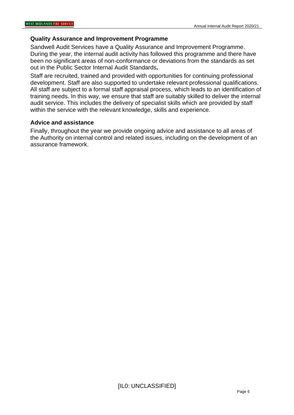#### **Quality Assurance and Improvement Programme**

Sandwell Audit Services have a Quality Assurance and Improvement Programme. During the year, the internal audit activity has followed this programme and there have been no significant areas of non-conformance or deviations from the standards as set out in the Public Sector Internal Audit Standards**.**

Staff are recruited, trained and provided with opportunities for continuing professional development. Staff are also supported to undertake relevant professional qualifications. All staff are subject to a formal staff appraisal process, which leads to an identification of training needs. In this way, we ensure that staff are suitably skilled to deliver the internal audit service. This includes the delivery of specialist skills which are provided by staff within the service with the relevant knowledge, skills and experience.

#### **Advice and assistance**

Finally, throughout the year we provide ongoing advice and assistance to all areas of the Authority on internal control and related issues, including on the development of an assurance framework.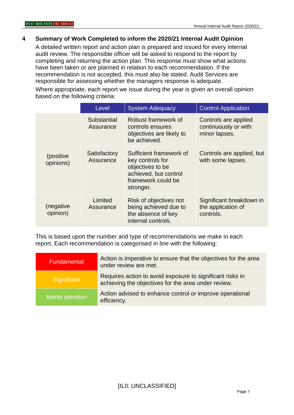#### **4 Summary of Work Completed to inform the 2020/21 Internal Audit Opinion**

A detailed written report and action plan is prepared and issued for every internal audit review. The responsible officer will be asked to respond to the report by completing and returning the action plan. This response must show what actions have been taken or are planned in relation to each recommendation. If the recommendation is not accepted, this must also be stated. Audit Services are responsible for assessing whether the managers response is adequate.

Where appropriate, each report we issue during the year is given an overall opinion based on the following criteria:

|                         | Level                     | <b>System Adequacy</b>                                                                                                      | <b>Control Application</b>                                    |
|-------------------------|---------------------------|-----------------------------------------------------------------------------------------------------------------------------|---------------------------------------------------------------|
|                         | Substantial<br>Assurance  | Robust framework of<br>controls ensures<br>objectives are likely to<br>be achieved.                                         | Controls are applied<br>continuously or with<br>minor lapses. |
| (positive)<br>opinions) | Satisfactory<br>Assurance | Sufficient framework of<br>key controls for<br>objectives to be<br>achieved, but control<br>framework could be<br>stronger. | Controls are applied, but<br>with some lapses.                |
| (negative<br>opinion)   | Limited<br>Assurance      | Risk of objectives not<br>being achieved due to<br>the absence of key<br>internal controls.                                 | Significant breakdown in<br>the application of<br>controls.   |

This is based upon the number and type of recommendations we make in each report. Each recommendation is categorised in line with the following:

| Fundamental      | Action is imperative to ensure that the objectives for the area<br>under review are met.                         |  |  |  |
|------------------|------------------------------------------------------------------------------------------------------------------|--|--|--|
| Significant      | Requires action to avoid exposure to significant risks in<br>achieving the objectives for the area under review. |  |  |  |
| Merits attention | Action advised to enhance control or improve operational<br>efficiency.                                          |  |  |  |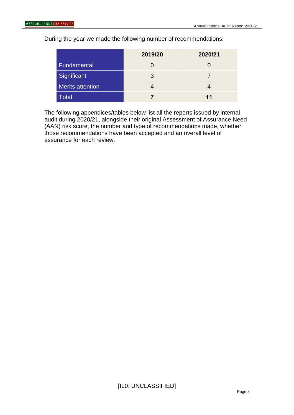During the year we made the following number of recommendations:

|                         | 2019/20 | 2020/21 |
|-------------------------|---------|---------|
| Fundamental             |         |         |
| Significant             | 3       |         |
| <b>Merits attention</b> |         |         |
| <b>Total</b>            |         | 11      |

The following appendices/tables below list all the reports issued by internal audit during 2020/21, alongside their original Assessment of Assurance Need (AAN) risk score, the number and type of recommendations made, whether those recommendations have been accepted and an overall level of assurance for each review.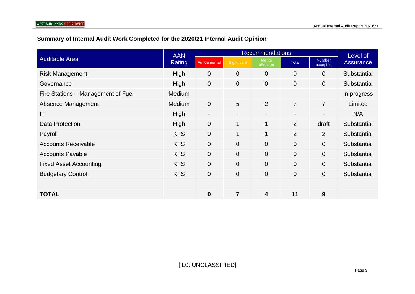### **Summary of Internal Audit Work Completed for the 2020/21 Internal Audit Opinion**

|                                    | <b>AAN</b>    | <b>Recommendations</b>   |                |                            |                | Level of           |             |
|------------------------------------|---------------|--------------------------|----------------|----------------------------|----------------|--------------------|-------------|
| <b>Auditable Area</b>              | Rating        | Fundamental              | Significant    | <b>Merits</b><br>attention | <b>Total</b>   | Number<br>accepted | Assurance   |
| <b>Risk Management</b>             | High          | $\overline{0}$           | $\overline{0}$ | $\overline{0}$             | $\overline{0}$ | $\Omega$           | Substantial |
| Governance                         | High          | $\overline{0}$           | $\overline{0}$ | $\Omega$                   | $\overline{0}$ | $\Omega$           | Substantial |
| Fire Stations - Management of Fuel | Medium        |                          |                |                            |                |                    | In progress |
| Absence Management                 | <b>Medium</b> | $\overline{0}$           | 5              | $\overline{2}$             | $\overline{7}$ | $\overline{7}$     | Limited     |
| IT                                 | High          | $\overline{\phantom{a}}$ | $\blacksquare$ | $\blacksquare$             |                | $\blacksquare$     | N/A         |
| Data Protection                    | High          | $\overline{0}$           | 1              | 1                          | 2              | draft              | Substantial |
| Payroll                            | <b>KFS</b>    | $\overline{0}$           | 1              | 1                          | 2              | $\overline{2}$     | Substantial |
| <b>Accounts Receivable</b>         | <b>KFS</b>    | $\overline{0}$           | $\overline{0}$ | $\overline{0}$             | $\overline{0}$ | $\overline{0}$     | Substantial |
| <b>Accounts Payable</b>            | <b>KFS</b>    | $\overline{0}$           | $\overline{0}$ | $\overline{0}$             | $\overline{0}$ | $\overline{0}$     | Substantial |
| <b>Fixed Asset Accounting</b>      | <b>KFS</b>    | $\overline{0}$           | $\overline{0}$ | $\overline{0}$             | $\overline{0}$ | $\overline{0}$     | Substantial |
| <b>Budgetary Control</b>           | <b>KFS</b>    | $\overline{0}$           | $\mathbf{0}$   | $\overline{0}$             | $\overline{0}$ | $\overline{0}$     | Substantial |
|                                    |               |                          |                |                            |                |                    |             |
| <b>TOTAL</b>                       |               | $\bf{0}$                 | 7              | 4                          | 11             | 9                  |             |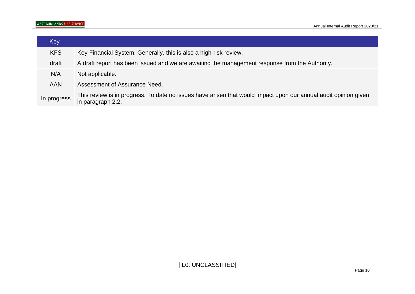| Key         |                                                                                                                                      |
|-------------|--------------------------------------------------------------------------------------------------------------------------------------|
| <b>KFS</b>  | Key Financial System. Generally, this is also a high-risk review.                                                                    |
| draft       | A draft report has been issued and we are awaiting the management response from the Authority.                                       |
| N/A         | Not applicable.                                                                                                                      |
| <b>AAN</b>  | Assessment of Assurance Need.                                                                                                        |
| In progress | This review is in progress. To date no issues have arisen that would impact upon our annual audit opinion given<br>in paragraph 2.2. |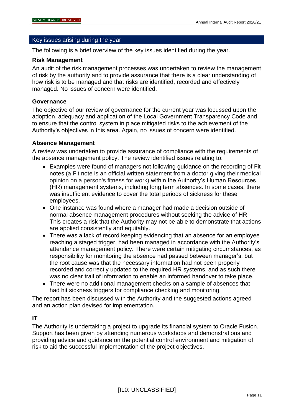#### Key issues arising during the year

The following is a brief overview of the key issues identified during the year.

#### **Risk Management**

An audit of the risk management processes was undertaken to review the management of risk by the authority and to provide assurance that there is a clear understanding of how risk is to be managed and that risks are identified, recorded and effectively managed. No issues of concern were identified.

#### **Governance**

The objective of our review of governance for the current year was focussed upon the adoption, adequacy and application of the Local Government Transparency Code and to ensure that the control system in place mitigated risks to the achievement of the Authority's objectives in this area. Again, no issues of concern were identified.

#### **Absence Management**

A review was undertaken to provide assurance of compliance with the requirements of the absence management policy. The review identified issues relating to:

- Examples were found of managers not following guidance on the recording of Fit notes (a Fit note is an official written statement from a doctor giving their medical opinion on a person's fitness for work) within the Authority's Human Resources (HR) management systems, including long term absences. In some cases, there was insufficient evidence to cover the total periods of sickness for these employees.
- One instance was found where a manager had made a decision outside of normal absence management procedures without seeking the advice of HR. This creates a risk that the Authority may not be able to demonstrate that actions are applied consistently and equitably.
- There was a lack of record keeping evidencing that an absence for an employee reaching a staged trigger, had been managed in accordance with the Authority's attendance management policy. There were certain mitigating circumstances, as responsibility for monitoring the absence had passed between manager's, but the root cause was that the necessary information had not been properly recorded and correctly updated to the required HR systems, and as such there was no clear trail of information to enable an informed handover to take place.
- There were no additional management checks on a sample of absences that had hit sickness triggers for compliance checking and monitoring.

The report has been discussed with the Authority and the suggested actions agreed and an action plan devised for implementation.

#### **IT**

The Authority is undertaking a project to upgrade its financial system to Oracle Fusion. Support has been given by attending numerous workshops and demonstrations and providing advice and guidance on the potential control environment and mitigation of risk to aid the successful implementation of the project objectives.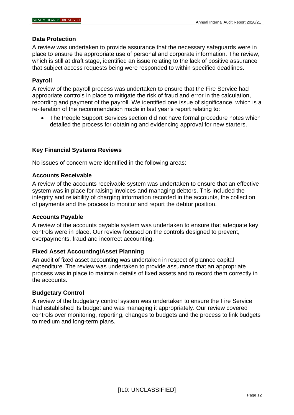#### **Data Protection**

A review was undertaken to provide assurance that the necessary safeguards were in place to ensure the appropriate use of personal and corporate information. The review, which is still at draft stage, identified an issue relating to the lack of positive assurance that subject access requests being were responded to within specified deadlines.

#### **Payroll**

A review of the payroll process was undertaken to ensure that the Fire Service had appropriate controls in place to mitigate the risk of fraud and error in the calculation, recording and payment of the payroll. We identified one issue of significance, which is a re-iteration of the recommendation made in last year's report relating to:

• The People Support Services section did not have formal procedure notes which detailed the process for obtaining and evidencing approval for new starters.

#### **Key Financial Systems Reviews**

No issues of concern were identified in the following areas:

#### **Accounts Receivable**

A review of the accounts receivable system was undertaken to ensure that an effective system was in place for raising invoices and managing debtors. This included the integrity and reliability of charging information recorded in the accounts, the collection of payments and the process to monitor and report the debtor position.

#### **Accounts Payable**

A review of the accounts payable system was undertaken to ensure that adequate key controls were in place. Our review focused on the controls designed to prevent, overpayments, fraud and incorrect accounting.

#### **Fixed Asset Accounting/Asset Planning**

An audit of fixed asset accounting was undertaken in respect of planned capital expenditure. The review was undertaken to provide assurance that an appropriate process was in place to maintain details of fixed assets and to record them correctly in the accounts.

#### **Budgetary Control**

A review of the budgetary control system was undertaken to ensure the Fire Service had established its budget and was managing it appropriately. Our review covered controls over monitoring, reporting, changes to budgets and the process to link budgets to medium and long-term plans.